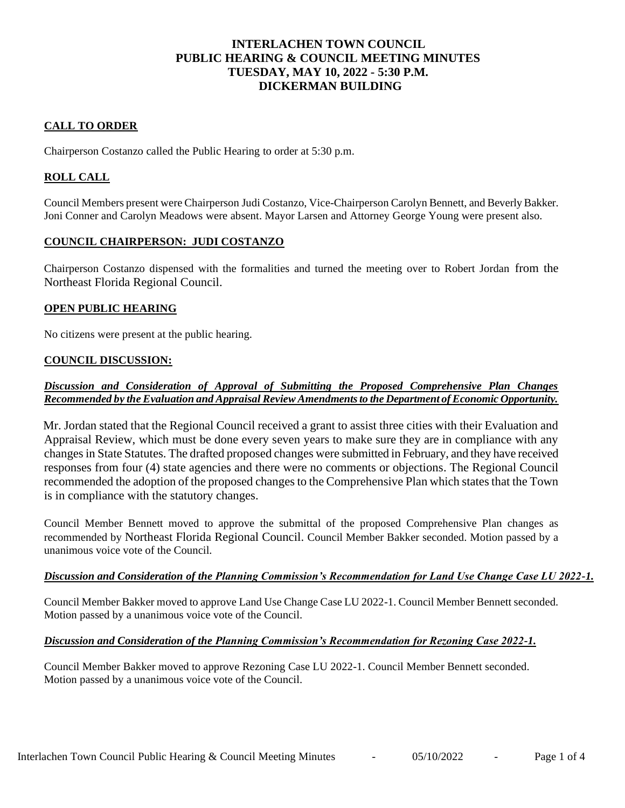# **INTERLACHEN TOWN COUNCIL PUBLIC HEARING & COUNCIL MEETING MINUTES TUESDAY, MAY 10, 2022 - 5:30 P.M. DICKERMAN BUILDING**

# **CALL TO ORDER**

Chairperson Costanzo called the Public Hearing to order at 5:30 p.m.

# **ROLL CALL**

Council Members present were Chairperson Judi Costanzo, Vice-Chairperson Carolyn Bennett, and Beverly Bakker. Joni Conner and Carolyn Meadows were absent. Mayor Larsen and Attorney George Young were present also.

#### **COUNCIL CHAIRPERSON: JUDI COSTANZO**

Chairperson Costanzo dispensed with the formalities and turned the meeting over to Robert Jordan from the Northeast Florida Regional Council.

## **OPEN PUBLIC HEARING**

No citizens were present at the public hearing.

#### **COUNCIL DISCUSSION:**

# *Discussion and Consideration of Approval of Submitting the Proposed Comprehensive Plan Changes Recommended by the Evaluation and Appraisal Review Amendments to the Department of Economic Opportunity.*

Mr. Jordan stated that the Regional Council received a grant to assist three cities with their Evaluation and Appraisal Review, which must be done every seven years to make sure they are in compliance with any changes in State Statutes. The drafted proposed changes were submitted in February, and they have received responses from four (4) state agencies and there were no comments or objections. The Regional Council recommended the adoption of the proposed changes to the Comprehensive Plan which states that the Town is in compliance with the statutory changes.

Council Member Bennett moved to approve the submittal of the proposed Comprehensive Plan changes as recommended by Northeast Florida Regional Council. Council Member Bakker seconded. Motion passed by a unanimous voice vote of the Council.

#### *Discussion and Consideration of the Planning Commission's Recommendation for Land Use Change Case LU 2022-1.*

Council Member Bakker moved to approve Land Use Change Case LU 2022-1. Council Member Bennett seconded. Motion passed by a unanimous voice vote of the Council.

## *Discussion and Consideration of the Planning Commission's Recommendation for Rezoning Case 2022-1.*

Council Member Bakker moved to approve Rezoning Case LU 2022-1. Council Member Bennett seconded. Motion passed by a unanimous voice vote of the Council.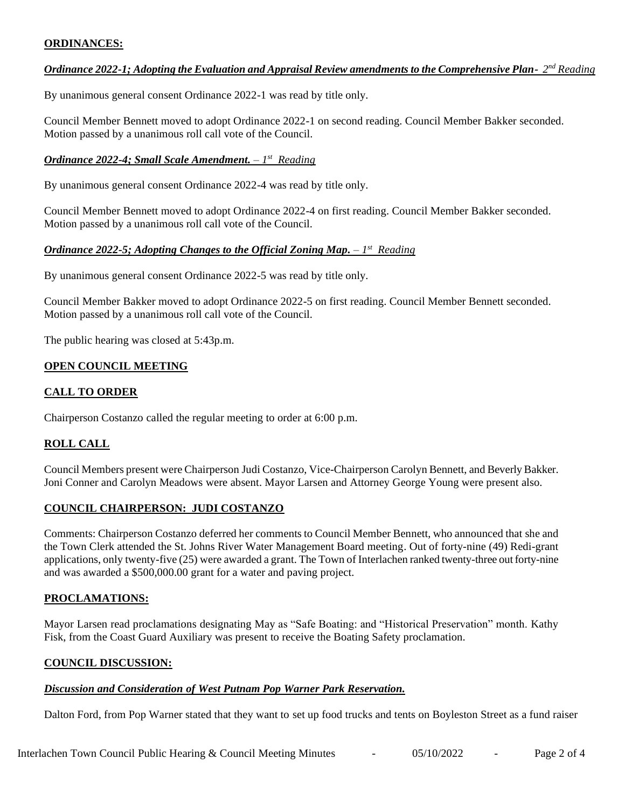# **ORDINANCES:**

# *Ordinance 2022-1; Adopting the Evaluation and Appraisal Review amendments to the Comprehensive Plan-* $2^{nd}$  **Reading**

By unanimous general consent Ordinance 2022-1 was read by title only.

Council Member Bennett moved to adopt Ordinance 2022-1 on second reading. Council Member Bakker seconded. Motion passed by a unanimous roll call vote of the Council.

## *Ordinance 2022-4; Small Scale Amendment. – 1 st Reading*

By unanimous general consent Ordinance 2022-4 was read by title only.

Council Member Bennett moved to adopt Ordinance 2022-4 on first reading. Council Member Bakker seconded. Motion passed by a unanimous roll call vote of the Council.

## *Ordinance 2022-5; Adopting Changes to the Official Zoning Map. – 1 st Reading*

By unanimous general consent Ordinance 2022-5 was read by title only.

Council Member Bakker moved to adopt Ordinance 2022-5 on first reading. Council Member Bennett seconded. Motion passed by a unanimous roll call vote of the Council.

The public hearing was closed at 5:43p.m.

# **OPEN COUNCIL MEETING**

# **CALL TO ORDER**

Chairperson Costanzo called the regular meeting to order at 6:00 p.m.

# **ROLL CALL**

Council Members present were Chairperson Judi Costanzo, Vice-Chairperson Carolyn Bennett, and Beverly Bakker. Joni Conner and Carolyn Meadows were absent. Mayor Larsen and Attorney George Young were present also.

## **COUNCIL CHAIRPERSON: JUDI COSTANZO**

Comments: Chairperson Costanzo deferred her comments to Council Member Bennett, who announced that she and the Town Clerk attended the St. Johns River Water Management Board meeting. Out of forty-nine (49) Redi-grant applications, only twenty-five (25) were awarded a grant. The Town of Interlachen ranked twenty-three out forty-nine and was awarded a \$500,000.00 grant for a water and paving project.

## **PROCLAMATIONS:**

Mayor Larsen read proclamations designating May as "Safe Boating: and "Historical Preservation" month. Kathy Fisk, from the Coast Guard Auxiliary was present to receive the Boating Safety proclamation.

## **COUNCIL DISCUSSION:**

#### *Discussion and Consideration of West Putnam Pop Warner Park Reservation.*

Dalton Ford, from Pop Warner stated that they want to set up food trucks and tents on Boyleston Street as a fund raiser

Interlachen Town Council Public Hearing & Council Meeting Minutes  $0.5/10/2022$  - Page 2 of 4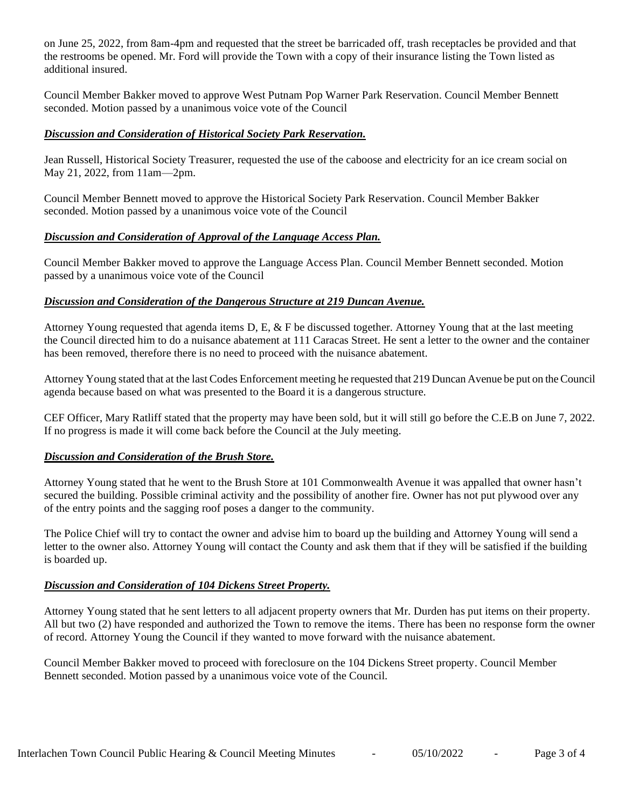on June 25, 2022, from 8am-4pm and requested that the street be barricaded off, trash receptacles be provided and that the restrooms be opened. Mr. Ford will provide the Town with a copy of their insurance listing the Town listed as additional insured.

Council Member Bakker moved to approve West Putnam Pop Warner Park Reservation. Council Member Bennett seconded. Motion passed by a unanimous voice vote of the Council

## *Discussion and Consideration of Historical Society Park Reservation.*

Jean Russell, Historical Society Treasurer, requested the use of the caboose and electricity for an ice cream social on May 21, 2022, from 11am—2pm.

Council Member Bennett moved to approve the Historical Society Park Reservation. Council Member Bakker seconded. Motion passed by a unanimous voice vote of the Council

# *Discussion and Consideration of Approval of the Language Access Plan.*

Council Member Bakker moved to approve the Language Access Plan. Council Member Bennett seconded. Motion passed by a unanimous voice vote of the Council

## *Discussion and Consideration of the Dangerous Structure at 219 Duncan Avenue.*

Attorney Young requested that agenda items D, E, & F be discussed together. Attorney Young that at the last meeting the Council directed him to do a nuisance abatement at 111 Caracas Street. He sent a letter to the owner and the container has been removed, therefore there is no need to proceed with the nuisance abatement.

Attorney Young stated that at the last Codes Enforcement meeting he requested that 219 Duncan Avenue be put on the Council agenda because based on what was presented to the Board it is a dangerous structure.

CEF Officer, Mary Ratliff stated that the property may have been sold, but it will still go before the C.E.B on June 7, 2022. If no progress is made it will come back before the Council at the July meeting.

## *Discussion and Consideration of the Brush Store.*

Attorney Young stated that he went to the Brush Store at 101 Commonwealth Avenue it was appalled that owner hasn't secured the building. Possible criminal activity and the possibility of another fire. Owner has not put plywood over any of the entry points and the sagging roof poses a danger to the community.

The Police Chief will try to contact the owner and advise him to board up the building and Attorney Young will send a letter to the owner also. Attorney Young will contact the County and ask them that if they will be satisfied if the building is boarded up.

## *Discussion and Consideration of 104 Dickens Street Property.*

Attorney Young stated that he sent letters to all adjacent property owners that Mr. Durden has put items on their property. All but two (2) have responded and authorized the Town to remove the items. There has been no response form the owner of record. Attorney Young the Council if they wanted to move forward with the nuisance abatement.

Council Member Bakker moved to proceed with foreclosure on the 104 Dickens Street property. Council Member Bennett seconded. Motion passed by a unanimous voice vote of the Council.